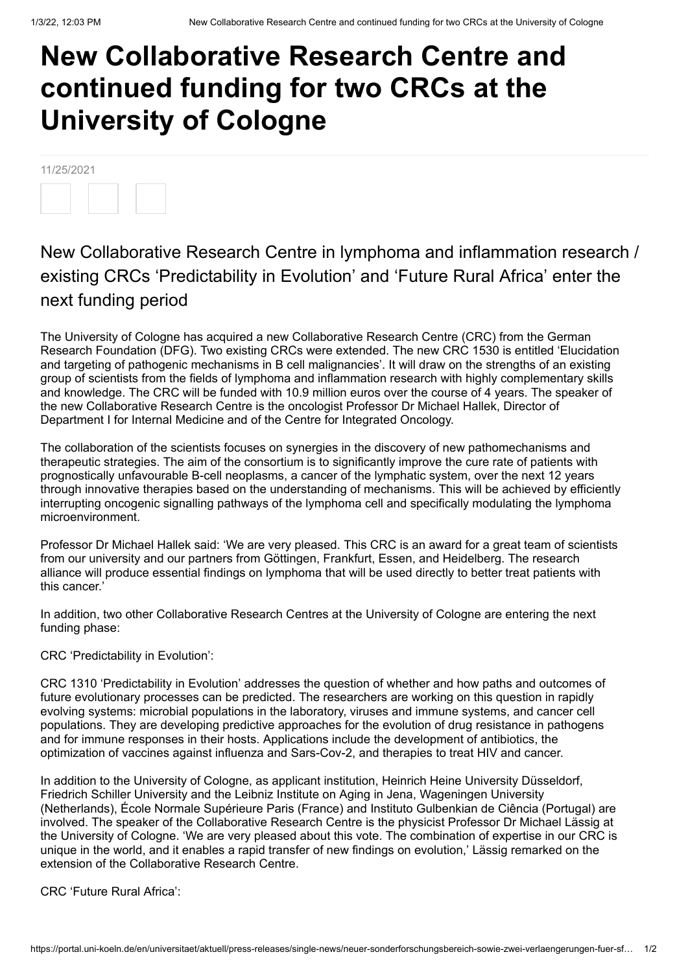## **New Collaborative Research Centre and continued funding for two CRCs at the University of Cologne**

11/25/2021

## New Collaborative Research Centre in lymphoma and inflammation research / existing CRCs 'Predictability in Evolution' and 'Future Rural Africa' enter the next funding period

The University of Cologne has acquired a new Collaborative Research Centre (CRC) from the German Research Foundation (DFG). Two existing CRCs were extended. The new CRC 1530 is entitled 'Elucidation and targeting of pathogenic mechanisms in B cell malignancies'. It will draw on the strengths of an existing group of scientists from the fields of lymphoma and inflammation research with highly complementary skills and knowledge. The CRC will be funded with 10.9 million euros over the course of 4 years. The speaker of the new Collaborative Research Centre is the oncologist Professor Dr Michael Hallek, Director of Department I for Internal Medicine and of the Centre for Integrated Oncology.

The collaboration of the scientists focuses on synergies in the discovery of new pathomechanisms and therapeutic strategies. The aim of the consortium is to significantly improve the cure rate of patients with prognostically unfavourable B-cell neoplasms, a cancer of the lymphatic system, over the next 12 years through innovative therapies based on the understanding of mechanisms. This will be achieved by efficiently interrupting oncogenic signalling pathways of the lymphoma cell and specifically modulating the lymphoma microenvironment.

Professor Dr Michael Hallek said: 'We are very pleased. This CRC is an award for a great team of scientists from our university and our partners from Göttingen, Frankfurt, Essen, and Heidelberg. The research alliance will produce essential findings on lymphoma that will be used directly to better treat patients with this cancer.'

In addition, two other Collaborative Research Centres at the University of Cologne are entering the next funding phase:

CRC 'Predictability in Evolution':

CRC 1310 'Predictability in Evolution' addresses the question of whether and how paths and outcomes of future evolutionary processes can be predicted. The researchers are working on this question in rapidly evolving systems: microbial populations in the laboratory, viruses and immune systems, and cancer cell populations. They are developing predictive approaches for the evolution of drug resistance in pathogens and for immune responses in their hosts. Applications include the development of antibiotics, the optimization of vaccines against influenza and Sars-Cov-2, and therapies to treat HIV and cancer.

In addition to the University of Cologne, as applicant institution, Heinrich Heine University Düsseldorf, Friedrich Schiller University and the Leibniz Institute on Aging in Jena, Wageningen University (Netherlands), École Normale Supérieure Paris (France) and Instituto Gulbenkian de Ciência (Portugal) are involved. The speaker of the Collaborative Research Centre is the physicist Professor Dr Michael Lässig at the University of Cologne. 'We are very pleased about this vote. The combination of expertise in our CRC is unique in the world, and it enables a rapid transfer of new findings on evolution,' Lässig remarked on the extension of the Collaborative Research Centre.

CRC 'Future Rural Africa':